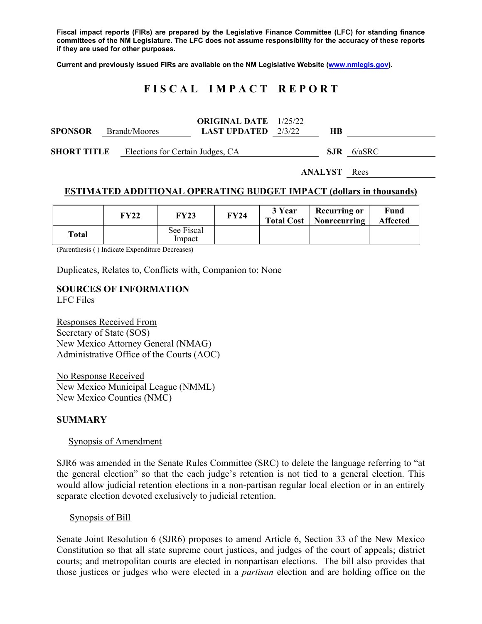**Fiscal impact reports (FIRs) are prepared by the Legislative Finance Committee (LFC) for standing finance committees of the NM Legislature. The LFC does not assume responsibility for the accuracy of these reports if they are used for other purposes.** 

**Current and previously issued FIRs are available on the NM Legislative Website (www.nmlegis.gov).** 

# **F I S C A L I M P A C T R E P O R T**

| <b>SPONSOR</b>      | Brandt/Moores                    | <b>ORIGINAL DATE</b> 1/25/22<br><b>LAST UPDATED</b> $2/3/22$ | HВ   |        |
|---------------------|----------------------------------|--------------------------------------------------------------|------|--------|
| <b>SHORT TITLE</b>  | Elections for Certain Judges, CA |                                                              | SJR. | 6/aSRC |
| <b>ANALYST</b> Rees |                                  |                                                              |      |        |

## **ESTIMATED ADDITIONAL OPERATING BUDGET IMPACT (dollars in thousands)**

|              | FY22 | FY23                 | FY24 | 3 Year | <b>Recurring or</b><br><b>Total Cost   Nonrecurring</b> | Fund<br><b>Affected</b> |
|--------------|------|----------------------|------|--------|---------------------------------------------------------|-------------------------|
| <b>Total</b> |      | See Fiscal<br>Impact |      |        |                                                         |                         |

(Parenthesis ( ) Indicate Expenditure Decreases)

Duplicates, Relates to, Conflicts with, Companion to: None

## **SOURCES OF INFORMATION**  LFC Files

Responses Received From Secretary of State (SOS) New Mexico Attorney General (NMAG) Administrative Office of the Courts (AOC)

No Response Received New Mexico Municipal League (NMML) New Mexico Counties (NMC)

#### **SUMMARY**

#### Synopsis of Amendment

SJR6 was amended in the Senate Rules Committee (SRC) to delete the language referring to "at the general election" so that the each judge's retention is not tied to a general election. This would allow judicial retention elections in a non-partisan regular local election or in an entirely separate election devoted exclusively to judicial retention.

#### Synopsis of Bill

Senate Joint Resolution 6 (SJR6) proposes to amend Article 6, Section 33 of the New Mexico Constitution so that all state supreme court justices, and judges of the court of appeals; district courts; and metropolitan courts are elected in nonpartisan elections. The bill also provides that those justices or judges who were elected in a *partisan* election and are holding office on the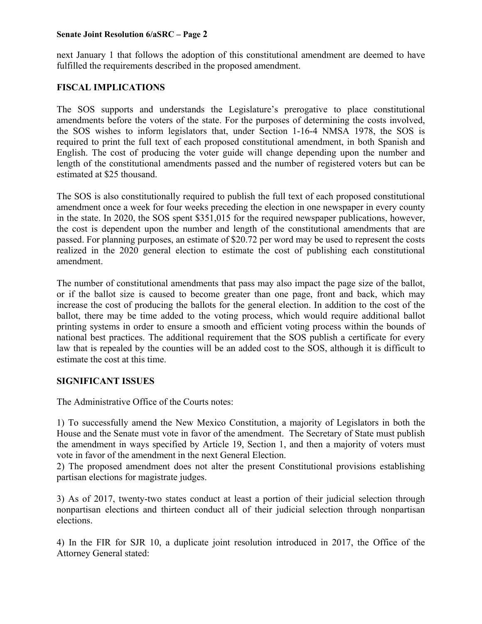## **Senate Joint Resolution 6/aSRC – Page 2**

next January 1 that follows the adoption of this constitutional amendment are deemed to have fulfilled the requirements described in the proposed amendment.

# **FISCAL IMPLICATIONS**

The SOS supports and understands the Legislature's prerogative to place constitutional amendments before the voters of the state. For the purposes of determining the costs involved, the SOS wishes to inform legislators that, under Section 1-16-4 NMSA 1978, the SOS is required to print the full text of each proposed constitutional amendment, in both Spanish and English. The cost of producing the voter guide will change depending upon the number and length of the constitutional amendments passed and the number of registered voters but can be estimated at \$25 thousand.

The SOS is also constitutionally required to publish the full text of each proposed constitutional amendment once a week for four weeks preceding the election in one newspaper in every county in the state. In 2020, the SOS spent \$351,015 for the required newspaper publications, however, the cost is dependent upon the number and length of the constitutional amendments that are passed. For planning purposes, an estimate of \$20.72 per word may be used to represent the costs realized in the 2020 general election to estimate the cost of publishing each constitutional amendment.

The number of constitutional amendments that pass may also impact the page size of the ballot, or if the ballot size is caused to become greater than one page, front and back, which may increase the cost of producing the ballots for the general election. In addition to the cost of the ballot, there may be time added to the voting process, which would require additional ballot printing systems in order to ensure a smooth and efficient voting process within the bounds of national best practices. The additional requirement that the SOS publish a certificate for every law that is repealed by the counties will be an added cost to the SOS, although it is difficult to estimate the cost at this time.

# **SIGNIFICANT ISSUES**

The Administrative Office of the Courts notes:

1) To successfully amend the New Mexico Constitution, a majority of Legislators in both the House and the Senate must vote in favor of the amendment. The Secretary of State must publish the amendment in ways specified by Article 19, Section 1, and then a majority of voters must vote in favor of the amendment in the next General Election.

2) The proposed amendment does not alter the present Constitutional provisions establishing partisan elections for magistrate judges.

3) As of 2017, twenty-two states conduct at least a portion of their judicial selection through nonpartisan elections and thirteen conduct all of their judicial selection through nonpartisan elections.

4) In the FIR for SJR 10, a duplicate joint resolution introduced in 2017, the Office of the Attorney General stated: